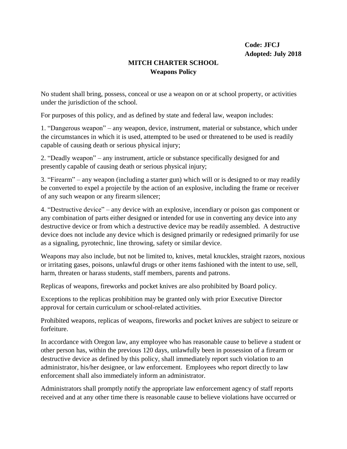## **MITCH CHARTER SCHOOL Weapons Policy**

No student shall bring, possess, conceal or use a weapon on or at school property, or activities under the jurisdiction of the school.

For purposes of this policy, and as defined by state and federal law, weapon includes:

1. "Dangerous weapon" – any weapon, device, instrument, material or substance, which under the circumstances in which it is used, attempted to be used or threatened to be used is readily capable of causing death or serious physical injury;

2. "Deadly weapon" – any instrument, article or substance specifically designed for and presently capable of causing death or serious physical injury;

3. "Firearm" – any weapon (including a starter gun) which will or is designed to or may readily be converted to expel a projectile by the action of an explosive, including the frame or receiver of any such weapon or any firearm silencer;

4. "Destructive device" – any device with an explosive, incendiary or poison gas component or any combination of parts either designed or intended for use in converting any device into any destructive device or from which a destructive device may be readily assembled. A destructive device does not include any device which is designed primarily or redesigned primarily for use as a signaling, pyrotechnic, line throwing, safety or similar device.

Weapons may also include, but not be limited to, knives, metal knuckles, straight razors, noxious or irritating gases, poisons, unlawful drugs or other items fashioned with the intent to use, sell, harm, threaten or harass students, staff members, parents and patrons.

Replicas of weapons, fireworks and pocket knives are also prohibited by Board policy.

Exceptions to the replicas prohibition may be granted only with prior Executive Director approval for certain curriculum or school-related activities.

Prohibited weapons, replicas of weapons, fireworks and pocket knives are subject to seizure or forfeiture.

In accordance with Oregon law, any employee who has reasonable cause to believe a student or other person has, within the previous 120 days, unlawfully been in possession of a firearm or destructive device as defined by this policy, shall immediately report such violation to an administrator, his/her designee, or law enforcement. Employees who report directly to law enforcement shall also immediately inform an administrator.

Administrators shall promptly notify the appropriate law enforcement agency of staff reports received and at any other time there is reasonable cause to believe violations have occurred or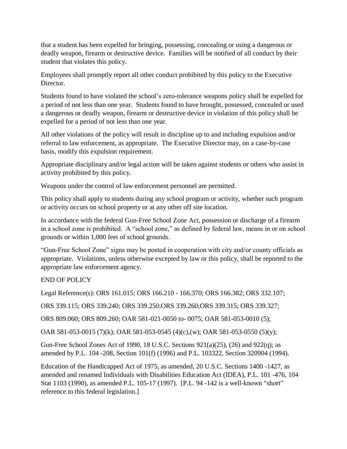that a student has been expelled for bringing, possessing, concealing or using a dangerous or deadly weapon, firearm or destructive device. Families will be notified of all conduct by their student that violates this policy.

Employees shall promptly report all other conduct prohibited by this policy to the Executive Director.

Students found to have violated the school's zero-tolerance weapons policy shall be expelled for a period of not less than one year. Students found to have brought, possessed, concealed or used a dangerous or deadly weapon, firearm or destructive device in violation of this policy shall be expelled for a period of not less than one year.

All other violations of the policy will result in discipline up to and including expulsion and/or referral to law enforcement, as appropriate. The Executive Director may, on a case-by-case basis, modify this expulsion requirement.

Appropriate disciplinary and/or legal action will be taken against students or others who assist in activity prohibited by this policy.

Weapons under the control of law enforcement personnel are permitted.

This policy shall apply to students during any school program or activity, whether such program or activity occurs on school property or at any other off site location.

In accordance with the federal Gun-Free School Zone Act, possession or discharge of a firearm in a school zone is prohibited. A "school zone," as defined by federal law, means in or on school grounds or within 1,000 feet of school grounds.

"Gun-Free School Zone" signs may be posted in cooperation with city and/or county officials as appropriate. Violations, unless otherwise excepted by law or this policy, shall be reported to the appropriate law enforcement agency.

END OF POLICY

Legal Reference(s): ORS 161.015; ORS 166.210 - 166.370; ORS 166.382; ORS 332.107;

ORS 339.115; ORS 339.240; ORS 339.250;ORS 339.260;ORS 339.315; ORS 339.327;

ORS 809.060; ORS 809.260; OAR 581-021-0050 to- 0075; OAR 581-053-0010 (5);

OAR 581-053-0015 (7)(k); OAR 581-053-0545 (4)(c),(w); OAR 581-053-0550 (5)(y);

Gun-Free School Zones Act of 1990, 18 U.S.C. Sections 921(a)(25), (26) and 922(q); as amended by P.L. 104 -208, Section 101(f) (1996) and P.L. 103322, Section 320904 (1994).

Education of the Handicapped Act of 1975, as amended, 20 U.S.C. Sections 1400 -1427, as amended and renamed Individuals with Disabilities Education Act (IDEA), P.L. 101 -476, 104 Stat 1103 (1990), as amended P.L. 105-17 (1997). [P.L. 94 -142 is a well-known "short" reference to this federal legislation.]